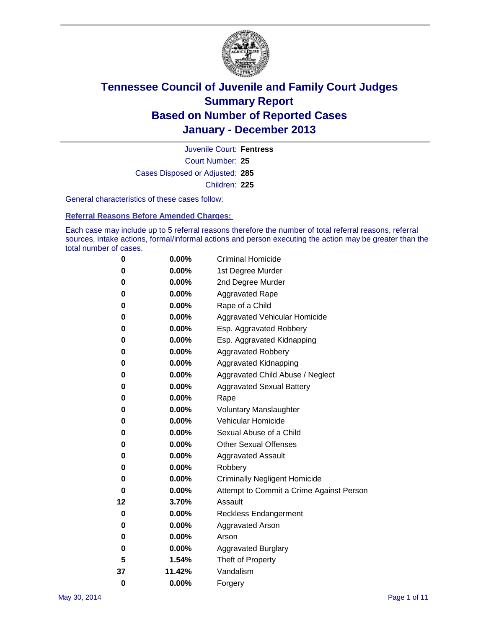

Court Number: **25** Juvenile Court: **Fentress** Cases Disposed or Adjusted: **285** Children: **225**

General characteristics of these cases follow:

**Referral Reasons Before Amended Charges:** 

Each case may include up to 5 referral reasons therefore the number of total referral reasons, referral sources, intake actions, formal/informal actions and person executing the action may be greater than the total number of cases.

| 0        | 0.00%    | <b>Criminal Homicide</b>                 |
|----------|----------|------------------------------------------|
| 0        | 0.00%    | 1st Degree Murder                        |
| 0        | 0.00%    | 2nd Degree Murder                        |
| 0        | $0.00\%$ | <b>Aggravated Rape</b>                   |
| 0        | 0.00%    | Rape of a Child                          |
| 0        | 0.00%    | <b>Aggravated Vehicular Homicide</b>     |
| 0        | $0.00\%$ | Esp. Aggravated Robbery                  |
| 0        | 0.00%    | Esp. Aggravated Kidnapping               |
| 0        | 0.00%    | <b>Aggravated Robbery</b>                |
| 0        | $0.00\%$ | Aggravated Kidnapping                    |
| 0        | 0.00%    | Aggravated Child Abuse / Neglect         |
| 0        | 0.00%    | <b>Aggravated Sexual Battery</b>         |
| 0        | $0.00\%$ | Rape                                     |
| 0        | 0.00%    | <b>Voluntary Manslaughter</b>            |
| 0        | 0.00%    | Vehicular Homicide                       |
| 0        | $0.00\%$ | Sexual Abuse of a Child                  |
| 0        | 0.00%    | <b>Other Sexual Offenses</b>             |
| 0        | 0.00%    | <b>Aggravated Assault</b>                |
| 0        | 0.00%    | Robbery                                  |
| 0        | 0.00%    | <b>Criminally Negligent Homicide</b>     |
| 0        | 0.00%    | Attempt to Commit a Crime Against Person |
| 12       | 3.70%    | Assault                                  |
| 0        | 0.00%    | <b>Reckless Endangerment</b>             |
| 0        | 0.00%    | <b>Aggravated Arson</b>                  |
| 0        | $0.00\%$ | Arson                                    |
| 0        | 0.00%    | <b>Aggravated Burglary</b>               |
| 5        | 1.54%    | Theft of Property                        |
| 37       | 11.42%   | Vandalism                                |
| $\bf{0}$ | 0.00%    | Forgery                                  |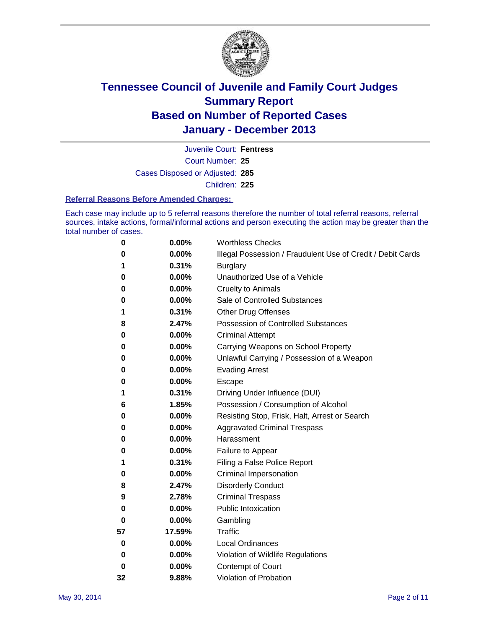

Court Number: **25** Juvenile Court: **Fentress** Cases Disposed or Adjusted: **285** Children: **225**

#### **Referral Reasons Before Amended Charges:**

Each case may include up to 5 referral reasons therefore the number of total referral reasons, referral sources, intake actions, formal/informal actions and person executing the action may be greater than the total number of cases.

| 0  | 0.00%  | <b>Worthless Checks</b>                                     |
|----|--------|-------------------------------------------------------------|
| 0  | 0.00%  | Illegal Possession / Fraudulent Use of Credit / Debit Cards |
| 1  | 0.31%  | <b>Burglary</b>                                             |
| 0  | 0.00%  | Unauthorized Use of a Vehicle                               |
| 0  | 0.00%  | <b>Cruelty to Animals</b>                                   |
| 0  | 0.00%  | Sale of Controlled Substances                               |
| 1  | 0.31%  | Other Drug Offenses                                         |
| 8  | 2.47%  | <b>Possession of Controlled Substances</b>                  |
| 0  | 0.00%  | <b>Criminal Attempt</b>                                     |
| 0  | 0.00%  | Carrying Weapons on School Property                         |
| 0  | 0.00%  | Unlawful Carrying / Possession of a Weapon                  |
| 0  | 0.00%  | <b>Evading Arrest</b>                                       |
| 0  | 0.00%  | Escape                                                      |
| 1  | 0.31%  | Driving Under Influence (DUI)                               |
| 6  | 1.85%  | Possession / Consumption of Alcohol                         |
| 0  | 0.00%  | Resisting Stop, Frisk, Halt, Arrest or Search               |
| 0  | 0.00%  | <b>Aggravated Criminal Trespass</b>                         |
| 0  | 0.00%  | Harassment                                                  |
| 0  | 0.00%  | Failure to Appear                                           |
| 1  | 0.31%  | Filing a False Police Report                                |
| 0  | 0.00%  | <b>Criminal Impersonation</b>                               |
| 8  | 2.47%  | <b>Disorderly Conduct</b>                                   |
| 9  | 2.78%  | <b>Criminal Trespass</b>                                    |
| 0  | 0.00%  | <b>Public Intoxication</b>                                  |
| 0  | 0.00%  | Gambling                                                    |
| 57 | 17.59% | <b>Traffic</b>                                              |
| 0  | 0.00%  | <b>Local Ordinances</b>                                     |
| 0  | 0.00%  | Violation of Wildlife Regulations                           |
| 0  | 0.00%  | Contempt of Court                                           |
| 32 | 9.88%  | Violation of Probation                                      |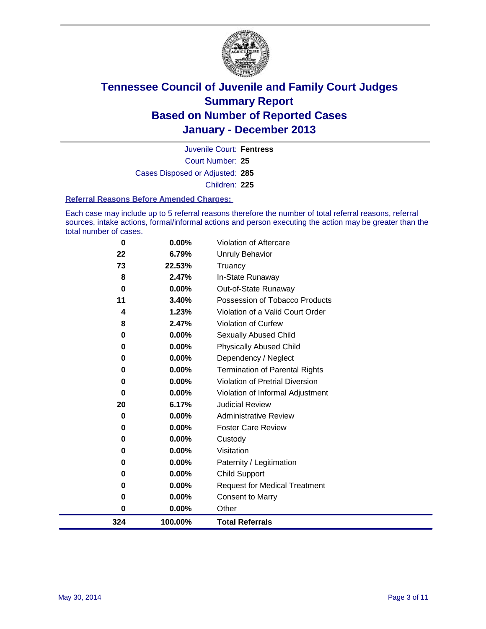

Court Number: **25** Juvenile Court: **Fentress** Cases Disposed or Adjusted: **285** Children: **225**

#### **Referral Reasons Before Amended Charges:**

Each case may include up to 5 referral reasons therefore the number of total referral reasons, referral sources, intake actions, formal/informal actions and person executing the action may be greater than the total number of cases.

| 324      | 100.00%                                 | <b>Total Referrals</b>                                                                        |
|----------|-----------------------------------------|-----------------------------------------------------------------------------------------------|
| 0        | $0.00\%$                                | Other                                                                                         |
| 0        | 0.00%                                   | <b>Consent to Marry</b>                                                                       |
| $\bf{0}$ | 0.00%                                   | <b>Request for Medical Treatment</b>                                                          |
| 0        | 0.00%                                   | <b>Child Support</b>                                                                          |
| 0        | 0.00%                                   | Paternity / Legitimation                                                                      |
| 0        | $0.00\%$                                | Visitation                                                                                    |
| 0        | 0.00%                                   | Custody                                                                                       |
| 0        | 0.00%                                   | <b>Foster Care Review</b>                                                                     |
| 0        | 0.00%                                   | <b>Administrative Review</b>                                                                  |
| 20       | 6.17%                                   | <b>Judicial Review</b>                                                                        |
| 0        | 0.00%                                   | Violation of Informal Adjustment                                                              |
| 0        | 0.00%                                   | Violation of Pretrial Diversion                                                               |
| 0        | 0.00%                                   | <b>Termination of Parental Rights</b>                                                         |
| $\bf{0}$ |                                         | Dependency / Neglect                                                                          |
| 0        |                                         | <b>Physically Abused Child</b>                                                                |
|          |                                         | Sexually Abused Child                                                                         |
|          |                                         | Violation of Curfew                                                                           |
|          |                                         | Violation of a Valid Court Order                                                              |
|          |                                         | Possession of Tobacco Products                                                                |
|          |                                         | Out-of-State Runaway                                                                          |
|          |                                         | In-State Runaway                                                                              |
|          |                                         | Unruly Behavior<br>Truancy                                                                    |
|          |                                         |                                                                                               |
|          | 22<br>73<br>8<br>0<br>11<br>4<br>8<br>0 | 6.79%<br>22.53%<br>2.47%<br>$0.00\%$<br>3.40%<br>1.23%<br>2.47%<br>0.00%<br>0.00%<br>$0.00\%$ |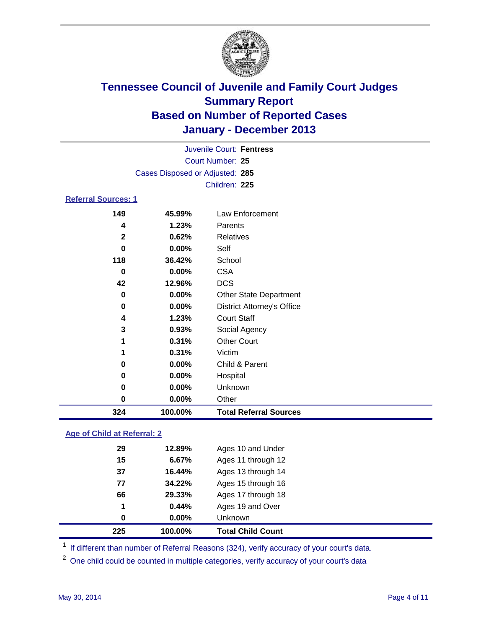

|                                 |          | Juvenile Court: Fentress |  |  |  |  |  |
|---------------------------------|----------|--------------------------|--|--|--|--|--|
| Court Number: 25                |          |                          |  |  |  |  |  |
| Cases Disposed or Adjusted: 285 |          |                          |  |  |  |  |  |
|                                 |          | Children: 225            |  |  |  |  |  |
| <b>Referral Sources: 1</b>      |          |                          |  |  |  |  |  |
| 149                             | 45.99%   | Law Enforcement          |  |  |  |  |  |
| 4                               | 1.23%    | Parents                  |  |  |  |  |  |
| $\mathbf{2}$                    | 0.62%    | Relatives                |  |  |  |  |  |
| 0                               | $0.00\%$ | Self                     |  |  |  |  |  |
| 118                             | 36.42%   | School                   |  |  |  |  |  |

| 324 | 100.00% | <b>Total Referral Sources</b>     |  |
|-----|---------|-----------------------------------|--|
| 0   | 0.00%   | Other                             |  |
| 0   | 0.00%   | <b>Unknown</b>                    |  |
| 0   | 0.00%   | Hospital                          |  |
| 0   | 0.00%   | Child & Parent                    |  |
|     | 0.31%   | Victim                            |  |
| 1   | 0.31%   | <b>Other Court</b>                |  |
| 3   | 0.93%   | Social Agency                     |  |
| 4   | 1.23%   | <b>Court Staff</b>                |  |
| 0   | 0.00%   | <b>District Attorney's Office</b> |  |
| 0   | 0.00%   | <b>Other State Department</b>     |  |
| 42  | 12.96%  | <b>DCS</b>                        |  |
| 0   | 0.00%   | <b>CSA</b>                        |  |
|     |         |                                   |  |

### **Age of Child at Referral: 2**

|    |        | <b>Unknown</b>     |  |
|----|--------|--------------------|--|
| 1  | 0.44%  | Ages 19 and Over   |  |
| 66 | 29.33% | Ages 17 through 18 |  |
| 77 | 34.22% | Ages 15 through 16 |  |
| 37 | 16.44% | Ages 13 through 14 |  |
| 15 | 6.67%  | Ages 11 through 12 |  |
| 29 | 12.89% | Ages 10 and Under  |  |
|    |        | $0.00\%$<br>0      |  |

<sup>1</sup> If different than number of Referral Reasons (324), verify accuracy of your court's data.

<sup>2</sup> One child could be counted in multiple categories, verify accuracy of your court's data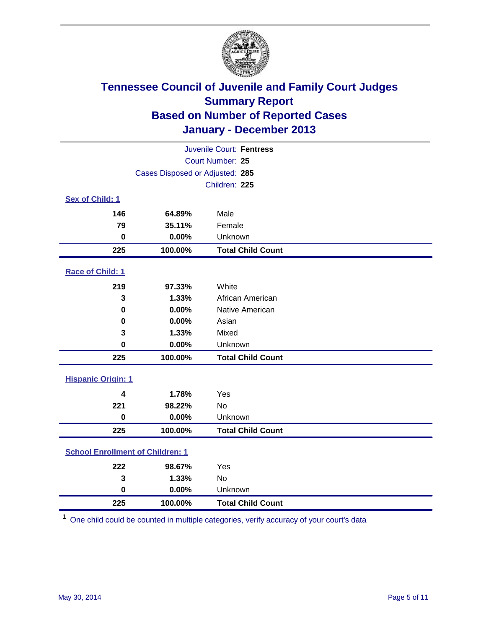

|                                         |                                 | Juvenile Court: Fentress |  |  |  |
|-----------------------------------------|---------------------------------|--------------------------|--|--|--|
|                                         |                                 | Court Number: 25         |  |  |  |
|                                         | Cases Disposed or Adjusted: 285 |                          |  |  |  |
|                                         |                                 | Children: 225            |  |  |  |
| Sex of Child: 1                         |                                 |                          |  |  |  |
| 146                                     | 64.89%                          | Male                     |  |  |  |
| 79                                      | 35.11%                          | Female                   |  |  |  |
| $\bf{0}$                                | 0.00%                           | Unknown                  |  |  |  |
| 225                                     | 100.00%                         | <b>Total Child Count</b> |  |  |  |
| Race of Child: 1                        |                                 |                          |  |  |  |
| 219                                     | 97.33%                          | White                    |  |  |  |
| 3                                       | 1.33%                           | African American         |  |  |  |
| $\bf{0}$                                | 0.00%                           | Native American          |  |  |  |
| 0                                       | 0.00%                           | Asian                    |  |  |  |
| 3                                       | 1.33%                           | Mixed                    |  |  |  |
| 0                                       | 0.00%                           | Unknown                  |  |  |  |
| 225                                     | 100.00%                         | <b>Total Child Count</b> |  |  |  |
| <b>Hispanic Origin: 1</b>               |                                 |                          |  |  |  |
| 4                                       | 1.78%                           | Yes                      |  |  |  |
| 221                                     | 98.22%                          | <b>No</b>                |  |  |  |
| $\mathbf 0$                             | 0.00%                           | Unknown                  |  |  |  |
| 225                                     | 100.00%                         | <b>Total Child Count</b> |  |  |  |
| <b>School Enrollment of Children: 1</b> |                                 |                          |  |  |  |
| 222                                     | 98.67%                          | Yes                      |  |  |  |
| 3                                       | 1.33%                           | <b>No</b>                |  |  |  |
| $\bf{0}$                                | 0.00%                           | Unknown                  |  |  |  |
| 225                                     | 100.00%                         | <b>Total Child Count</b> |  |  |  |

One child could be counted in multiple categories, verify accuracy of your court's data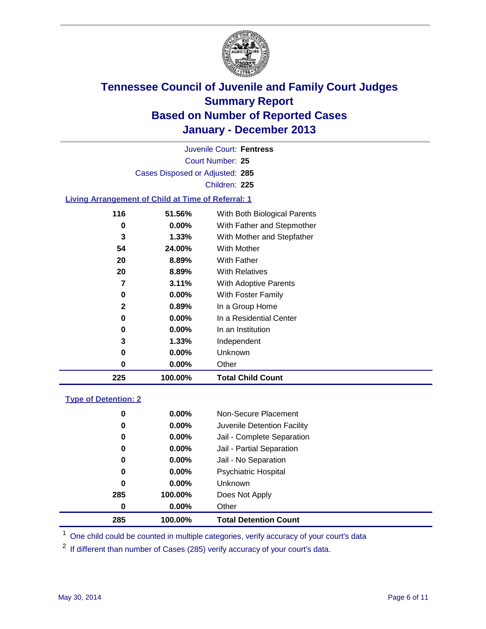

Court Number: **25** Juvenile Court: **Fentress** Cases Disposed or Adjusted: **285** Children: **225**

### **Living Arrangement of Child at Time of Referral: 1**

| 225          | 100.00%  | <b>Total Child Count</b>     |
|--------------|----------|------------------------------|
| 0            | 0.00%    | Other                        |
| 0            | $0.00\%$ | Unknown                      |
| 3            | 1.33%    | Independent                  |
| 0            | 0.00%    | In an Institution            |
| 0            | $0.00\%$ | In a Residential Center      |
| $\mathbf{2}$ | 0.89%    | In a Group Home              |
| 0            | $0.00\%$ | With Foster Family           |
| 7            | 3.11%    | <b>With Adoptive Parents</b> |
| 20           | 8.89%    | <b>With Relatives</b>        |
| 20           | 8.89%    | With Father                  |
| 54           | 24.00%   | With Mother                  |
| 3            | 1.33%    | With Mother and Stepfather   |
| 0            | $0.00\%$ | With Father and Stepmother   |
| 116          | 51.56%   | With Both Biological Parents |
|              |          |                              |

### **Type of Detention: 2**

| 285 | 100.00%  | <b>Total Detention Count</b> |  |
|-----|----------|------------------------------|--|
| 0   | $0.00\%$ | Other                        |  |
| 285 | 100.00%  | Does Not Apply               |  |
| 0   | $0.00\%$ | <b>Unknown</b>               |  |
| 0   | $0.00\%$ | <b>Psychiatric Hospital</b>  |  |
| 0   | 0.00%    | Jail - No Separation         |  |
| 0   | 0.00%    | Jail - Partial Separation    |  |
| 0   | $0.00\%$ | Jail - Complete Separation   |  |
| 0   | 0.00%    | Juvenile Detention Facility  |  |
| 0   | 0.00%    | Non-Secure Placement         |  |
|     |          |                              |  |

<sup>1</sup> One child could be counted in multiple categories, verify accuracy of your court's data

If different than number of Cases (285) verify accuracy of your court's data.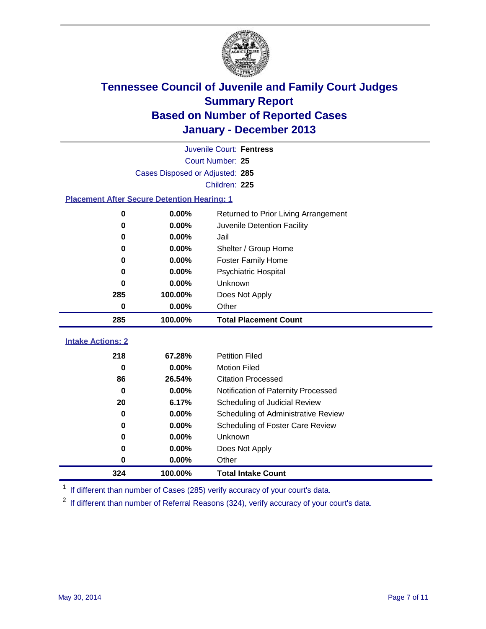

|                                                    |                  | Juvenile Court: Fentress             |  |  |  |
|----------------------------------------------------|------------------|--------------------------------------|--|--|--|
|                                                    | Court Number: 25 |                                      |  |  |  |
| Cases Disposed or Adjusted: 285                    |                  |                                      |  |  |  |
|                                                    |                  | Children: 225                        |  |  |  |
| <b>Placement After Secure Detention Hearing: 1</b> |                  |                                      |  |  |  |
| $\bf{0}$                                           | 0.00%            | Returned to Prior Living Arrangement |  |  |  |
| 0                                                  | $0.00\%$         | Juvenile Detention Facility          |  |  |  |
| 0                                                  | 0.00%            | Jail                                 |  |  |  |
| 0                                                  | 0.00%            | Shelter / Group Home                 |  |  |  |
| 0                                                  | 0.00%            | Foster Family Home                   |  |  |  |
| 0                                                  | 0.00%            | Psychiatric Hospital                 |  |  |  |
| 0                                                  | 0.00%            | Unknown                              |  |  |  |
| 285                                                | 100.00%          | Does Not Apply                       |  |  |  |
| 0                                                  | 0.00%            | Other                                |  |  |  |
| 285                                                | 100.00%          | <b>Total Placement Count</b>         |  |  |  |
|                                                    |                  |                                      |  |  |  |
| <b>Intake Actions: 2</b>                           |                  |                                      |  |  |  |
| 218                                                | 67.28%           | <b>Petition Filed</b>                |  |  |  |
| 0                                                  | 0.00%            | <b>Motion Filed</b>                  |  |  |  |
| 86                                                 | 26.54%           | <b>Citation Processed</b>            |  |  |  |
| $\bf{0}$                                           | $0.00\%$         | Notification of Paternity Processed  |  |  |  |
| 20                                                 | 6.17%            | Scheduling of Judicial Review        |  |  |  |
| $\bf{0}$                                           | 0.00%            | Scheduling of Administrative Review  |  |  |  |
| 0                                                  | 0.00%            | Scheduling of Foster Care Review     |  |  |  |
| 0                                                  | 0.00%            | Unknown                              |  |  |  |
| 0                                                  | 0.00%            | Does Not Apply                       |  |  |  |
| 0                                                  | 0.00%            | Other                                |  |  |  |
| 324                                                | 100.00%          | <b>Total Intake Count</b>            |  |  |  |

<sup>1</sup> If different than number of Cases (285) verify accuracy of your court's data.

If different than number of Referral Reasons (324), verify accuracy of your court's data.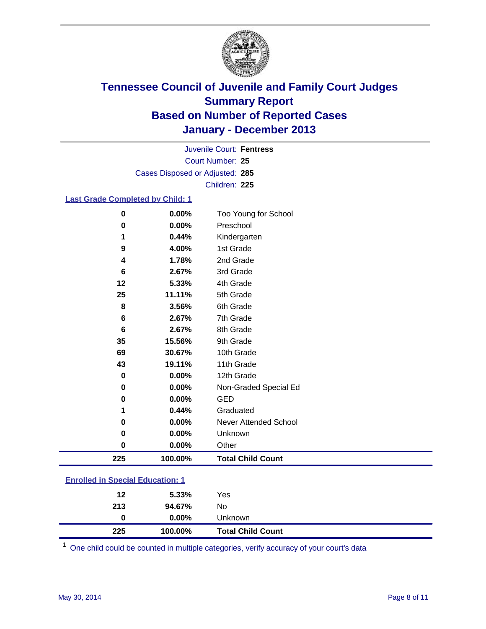

Court Number: **25** Juvenile Court: **Fentress** Cases Disposed or Adjusted: **285** Children: **225**

#### **Last Grade Completed by Child: 1**

| 0<br>$\bf{0}$ | 0.00%<br>0.00% | Too Young for School<br>Preschool |
|---------------|----------------|-----------------------------------|
| 1             | 0.44%          |                                   |
|               |                | Kindergarten                      |
| 9             | 4.00%          | 1st Grade                         |
| 4             | 1.78%          | 2nd Grade                         |
| 6             | 2.67%          | 3rd Grade                         |
| 12            | 5.33%          | 4th Grade                         |
| 25            | 11.11%         | 5th Grade                         |
| 8             | 3.56%          | 6th Grade                         |
| 6             | 2.67%          | 7th Grade                         |
| 6             | 2.67%          | 8th Grade                         |
| 35            | 15.56%         | 9th Grade                         |
| 69            | 30.67%         | 10th Grade                        |
| 43            | 19.11%         | 11th Grade                        |
| $\bf{0}$      | 0.00%          | 12th Grade                        |
| 0             | 0.00%          | Non-Graded Special Ed             |
| 0             | 0.00%          | <b>GED</b>                        |
| 1             | 0.44%          | Graduated                         |
| 0             | 0.00%          | Never Attended School             |
| 0             | 0.00%          | Unknown                           |
| 0             | 0.00%          | Other                             |
| 225           | 100.00%        | <b>Total Child Count</b>          |

|                                         | 225 | 100.00%  | <b>Total Child Count</b> |  |  |  |
|-----------------------------------------|-----|----------|--------------------------|--|--|--|
|                                         | 0   | $0.00\%$ | Unknown                  |  |  |  |
|                                         | 213 | 94.67%   | No                       |  |  |  |
|                                         | 12  | $5.33\%$ | Yes                      |  |  |  |
| <b>Enrolled in Special Education: 1</b> |     |          |                          |  |  |  |

One child could be counted in multiple categories, verify accuracy of your court's data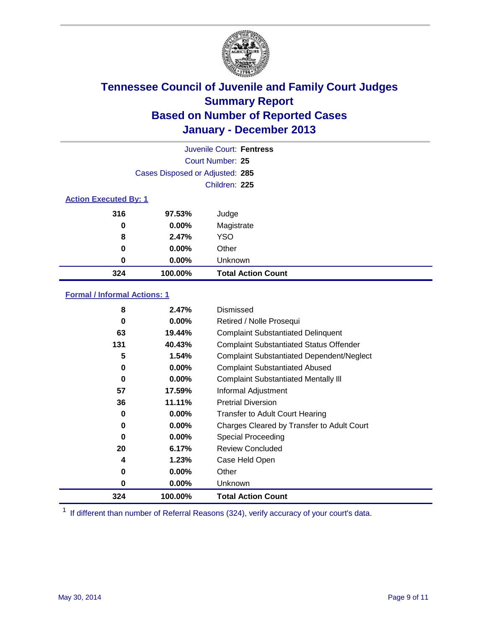

|                              |                                 | Juvenile Court: Fentress  |
|------------------------------|---------------------------------|---------------------------|
|                              |                                 | Court Number: 25          |
|                              | Cases Disposed or Adjusted: 285 |                           |
|                              |                                 | Children: 225             |
| <b>Action Executed By: 1</b> |                                 |                           |
| 316                          | 97.53%                          | Judge                     |
| 0                            | $0.00\%$                        | Magistrate                |
| 8                            | 2.47%                           | <b>YSO</b>                |
| 0                            | $0.00\%$                        | Other                     |
| 0                            | $0.00\%$                        | Unknown                   |
| 324                          | 100.00%                         | <b>Total Action Count</b> |

### **Formal / Informal Actions: 1**

| 8        | 2.47%    | Dismissed                                        |
|----------|----------|--------------------------------------------------|
| 0        | $0.00\%$ | Retired / Nolle Prosequi                         |
| 63       | 19.44%   | <b>Complaint Substantiated Delinquent</b>        |
| 131      | 40.43%   | <b>Complaint Substantiated Status Offender</b>   |
| 5        | 1.54%    | <b>Complaint Substantiated Dependent/Neglect</b> |
| 0        | 0.00%    | <b>Complaint Substantiated Abused</b>            |
| 0        | $0.00\%$ | <b>Complaint Substantiated Mentally III</b>      |
| 57       | 17.59%   | Informal Adjustment                              |
| 36       | 11.11%   | <b>Pretrial Diversion</b>                        |
| 0        | $0.00\%$ | <b>Transfer to Adult Court Hearing</b>           |
| 0        | $0.00\%$ | Charges Cleared by Transfer to Adult Court       |
| $\bf{0}$ | $0.00\%$ | Special Proceeding                               |
| 20       | 6.17%    | <b>Review Concluded</b>                          |
| 4        | 1.23%    | Case Held Open                                   |
| 0        | $0.00\%$ | Other                                            |
| 0        | $0.00\%$ | <b>Unknown</b>                                   |
| 324      | 100.00%  | <b>Total Action Count</b>                        |

<sup>1</sup> If different than number of Referral Reasons (324), verify accuracy of your court's data.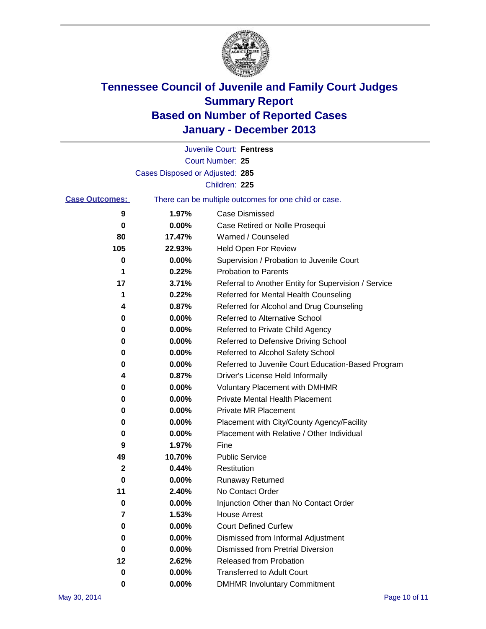

|                       |                                 | Juvenile Court: Fentress                              |
|-----------------------|---------------------------------|-------------------------------------------------------|
|                       |                                 | Court Number: 25                                      |
|                       | Cases Disposed or Adjusted: 285 |                                                       |
|                       |                                 | Children: 225                                         |
| <b>Case Outcomes:</b> |                                 | There can be multiple outcomes for one child or case. |
| 9                     | 1.97%                           | Case Dismissed                                        |
| 0                     | 0.00%                           | Case Retired or Nolle Prosequi                        |
| 80                    | 17.47%                          | Warned / Counseled                                    |
| 105                   | 22.93%                          | Held Open For Review                                  |
| 0                     | 0.00%                           | Supervision / Probation to Juvenile Court             |
| 1                     | 0.22%                           | <b>Probation to Parents</b>                           |
| 17                    | 3.71%                           | Referral to Another Entity for Supervision / Service  |
| 1                     | 0.22%                           | Referred for Mental Health Counseling                 |
| 4                     | 0.87%                           | Referred for Alcohol and Drug Counseling              |
| 0                     | 0.00%                           | <b>Referred to Alternative School</b>                 |
| 0                     | 0.00%                           | Referred to Private Child Agency                      |
| 0                     | 0.00%                           | Referred to Defensive Driving School                  |
| 0                     | 0.00%                           | Referred to Alcohol Safety School                     |
| 0                     | 0.00%                           | Referred to Juvenile Court Education-Based Program    |
| 4                     | 0.87%                           | Driver's License Held Informally                      |
| 0                     | 0.00%                           | <b>Voluntary Placement with DMHMR</b>                 |
| 0                     | 0.00%                           | <b>Private Mental Health Placement</b>                |
| 0                     | 0.00%                           | <b>Private MR Placement</b>                           |
| 0                     | 0.00%                           | Placement with City/County Agency/Facility            |
| 0                     | 0.00%                           | Placement with Relative / Other Individual            |
| 9                     | 1.97%                           | Fine                                                  |
| 49                    | 10.70%                          | <b>Public Service</b>                                 |
| 2                     | 0.44%                           | Restitution                                           |
| 0                     | 0.00%                           | <b>Runaway Returned</b>                               |
| 11                    | 2.40%                           | No Contact Order                                      |
| 0                     | 0.00%                           | Injunction Other than No Contact Order                |
| 7                     | 1.53%                           | <b>House Arrest</b>                                   |
| 0                     | 0.00%                           | <b>Court Defined Curfew</b>                           |
| 0                     | 0.00%                           | Dismissed from Informal Adjustment                    |
| 0                     | 0.00%                           | <b>Dismissed from Pretrial Diversion</b>              |
| 12                    | 2.62%                           | Released from Probation                               |
| 0                     | 0.00%                           | <b>Transferred to Adult Court</b>                     |
| 0                     | $0.00\%$                        | <b>DMHMR Involuntary Commitment</b>                   |